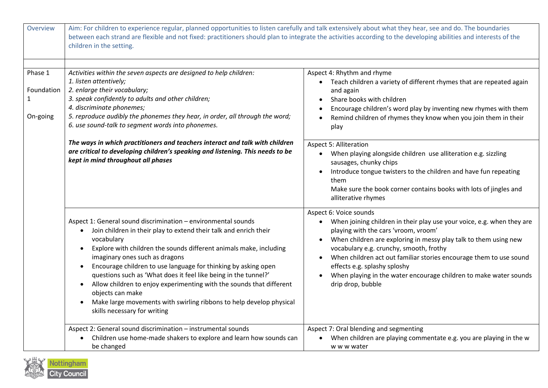| Overview                          | Aim: For children to experience regular, planned opportunities to listen carefully and talk extensively about what they hear, see and do. The boundaries<br>between each strand are flexible and not fixed: practitioners should plan to integrate the activities according to the developing abilities and interests of the<br>children in the setting.                                                                                                                                                                                                                                                                                                          |                                                                                                                                                                                                                                                                                                                                                                                                                                                                        |
|-----------------------------------|-------------------------------------------------------------------------------------------------------------------------------------------------------------------------------------------------------------------------------------------------------------------------------------------------------------------------------------------------------------------------------------------------------------------------------------------------------------------------------------------------------------------------------------------------------------------------------------------------------------------------------------------------------------------|------------------------------------------------------------------------------------------------------------------------------------------------------------------------------------------------------------------------------------------------------------------------------------------------------------------------------------------------------------------------------------------------------------------------------------------------------------------------|
| Phase 1<br>Foundation<br>On-going | Activities within the seven aspects are designed to help children:<br>1. listen attentively;<br>2. enlarge their vocabulary;<br>3. speak confidently to adults and other children;<br>4. discriminate phonemes;<br>5. reproduce audibly the phonemes they hear, in order, all through the word;<br>6. use sound-talk to segment words into phonemes.<br>The ways in which practitioners and teachers interact and talk with children                                                                                                                                                                                                                              | Aspect 4: Rhythm and rhyme<br>• Teach children a variety of different rhymes that are repeated again<br>and again<br>Share books with children<br>Encourage children's word play by inventing new rhymes with them<br>Remind children of rhymes they know when you join them in their<br>play<br><b>Aspect 5: Alliteration</b>                                                                                                                                         |
|                                   | are critical to developing children's speaking and listening. This needs to be<br>kept in mind throughout all phases                                                                                                                                                                                                                                                                                                                                                                                                                                                                                                                                              | • When playing alongside children use alliteration e.g. sizzling<br>sausages, chunky chips<br>Introduce tongue twisters to the children and have fun repeating<br>them<br>Make sure the book corner contains books with lots of jingles and<br>alliterative rhymes                                                                                                                                                                                                     |
|                                   | Aspect 1: General sound discrimination - environmental sounds<br>Join children in their play to extend their talk and enrich their<br>$\bullet$<br>vocabulary<br>Explore with children the sounds different animals make, including<br>$\bullet$<br>imaginary ones such as dragons<br>Encourage children to use language for thinking by asking open<br>$\bullet$<br>questions such as 'What does it feel like being in the tunnel?'<br>Allow children to enjoy experimenting with the sounds that different<br>$\bullet$<br>objects can make<br>Make large movements with swirling ribbons to help develop physical<br>$\bullet$<br>skills necessary for writing | Aspect 6: Voice sounds<br>• When joining children in their play use your voice, e.g. when they are<br>playing with the cars 'vroom, vroom'<br>When children are exploring in messy play talk to them using new<br>$\bullet$<br>vocabulary e.g. crunchy, smooth, frothy<br>When children act out familiar stories encourage them to use sound<br>effects e.g. splashy sploshy<br>When playing in the water encourage children to make water sounds<br>drip drop, bubble |
|                                   | Aspect 2: General sound discrimination - instrumental sounds<br>Children use home-made shakers to explore and learn how sounds can<br>be changed                                                                                                                                                                                                                                                                                                                                                                                                                                                                                                                  | Aspect 7: Oral blending and segmenting<br>When children are playing commentate e.g. you are playing in the w<br>w w w water                                                                                                                                                                                                                                                                                                                                            |

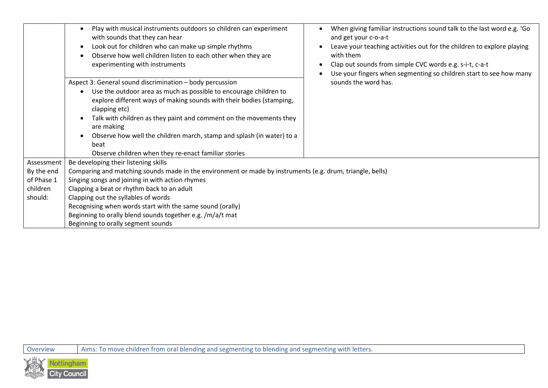|            | Play with musical instruments outdoors so children can experiment<br>with sounds that they can hear<br>Look out for children who can make up simple rhythms<br>٠<br>Observe how well children listen to each other when they are<br>experimenting with instruments                                                                                                                                                                                  | When giving familiar instructions sound talk to the last word e.g. 'Go<br>and get your c-o-a-t<br>Leave your teaching activities out for the children to explore playing<br>with them<br>Clap out sounds from simple CVC words e.g. s-i-t, c-a-t<br>Use your fingers when segmenting so children start to see how many |
|------------|-----------------------------------------------------------------------------------------------------------------------------------------------------------------------------------------------------------------------------------------------------------------------------------------------------------------------------------------------------------------------------------------------------------------------------------------------------|------------------------------------------------------------------------------------------------------------------------------------------------------------------------------------------------------------------------------------------------------------------------------------------------------------------------|
|            | Aspect 3: General sound discrimination - body percussion<br>Use the outdoor area as much as possible to encourage children to<br>explore different ways of making sounds with their bodies (stamping,<br>clapping etc)<br>Talk with children as they paint and comment on the movements they<br>are making<br>Observe how well the children march, stamp and splash (in water) to a<br>beat<br>Observe children when they re-enact familiar stories | sounds the word has.                                                                                                                                                                                                                                                                                                   |
| Assessment | Be developing their listening skills                                                                                                                                                                                                                                                                                                                                                                                                                |                                                                                                                                                                                                                                                                                                                        |
| By the end | Comparing and matching sounds made in the environment or made by instruments (e.g. drum, triangle, bells)                                                                                                                                                                                                                                                                                                                                           |                                                                                                                                                                                                                                                                                                                        |
| of Phase 1 | Singing songs and joining in with action rhymes                                                                                                                                                                                                                                                                                                                                                                                                     |                                                                                                                                                                                                                                                                                                                        |
| children   | Clapping a beat or rhythm back to an adult                                                                                                                                                                                                                                                                                                                                                                                                          |                                                                                                                                                                                                                                                                                                                        |
| should:    | Clapping out the syllables of words                                                                                                                                                                                                                                                                                                                                                                                                                 |                                                                                                                                                                                                                                                                                                                        |
|            | Recognising when words start with the same sound (orally)                                                                                                                                                                                                                                                                                                                                                                                           |                                                                                                                                                                                                                                                                                                                        |
|            | Beginning to orally blend sounds together e.g. /m/a/t mat                                                                                                                                                                                                                                                                                                                                                                                           |                                                                                                                                                                                                                                                                                                                        |
|            | Beginning to orally segment sounds                                                                                                                                                                                                                                                                                                                                                                                                                  |                                                                                                                                                                                                                                                                                                                        |

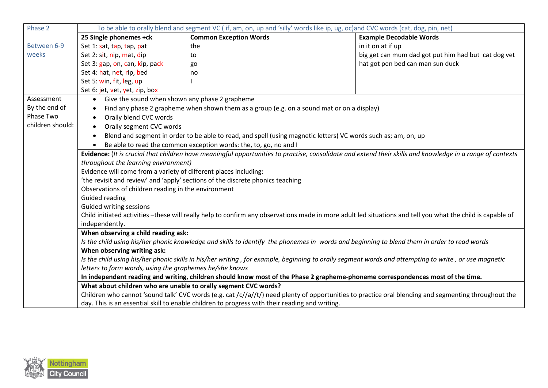| Phase 2          | To be able to orally blend and segment VC (if, am, on, up and 'silly' words like ip, ug, oc)and CVC words (cat, dog, pin, net)                             |                                                                                                                                                      |                                                     |
|------------------|------------------------------------------------------------------------------------------------------------------------------------------------------------|------------------------------------------------------------------------------------------------------------------------------------------------------|-----------------------------------------------------|
|                  | 25 Single phonemes +ck                                                                                                                                     | <b>Common Exception Words</b>                                                                                                                        | <b>Example Decodable Words</b>                      |
| Between 6-9      | Set 1: sat, tap, tap, pat                                                                                                                                  | the                                                                                                                                                  | in it on at if up                                   |
| weeks            | Set 2: sit, nip, mat, dip                                                                                                                                  | to                                                                                                                                                   | big get can mum dad got put him had but cat dog vet |
|                  | Set 3: gap, on, can, kip, pack                                                                                                                             | go                                                                                                                                                   | hat got pen bed can man sun duck                    |
|                  | Set 4: hat, net, rip, bed                                                                                                                                  | no                                                                                                                                                   |                                                     |
|                  | Set 5: win, fit, leg, up                                                                                                                                   |                                                                                                                                                      |                                                     |
|                  | Set 6: jet, vet, yet, zip, box                                                                                                                             |                                                                                                                                                      |                                                     |
| Assessment       | Give the sound when shown any phase 2 grapheme<br>$\bullet$                                                                                                |                                                                                                                                                      |                                                     |
| By the end of    |                                                                                                                                                            | Find any phase 2 grapheme when shown them as a group (e.g. on a sound mat or on a display)                                                           |                                                     |
| Phase Two        | Orally blend CVC words<br>$\bullet$                                                                                                                        |                                                                                                                                                      |                                                     |
| children should: | Orally segment CVC words<br>$\bullet$                                                                                                                      |                                                                                                                                                      |                                                     |
|                  | $\bullet$                                                                                                                                                  | Blend and segment in order to be able to read, and spell (using magnetic letters) VC words such as; am, on, up                                       |                                                     |
|                  | Be able to read the common exception words: the, to, go, no and I                                                                                          |                                                                                                                                                      |                                                     |
|                  | Evidence: (It is crucial that children have meaningful opportunities to practise, consolidate and extend their skills and knowledge in a range of contexts |                                                                                                                                                      |                                                     |
|                  | throughout the learning environment)                                                                                                                       |                                                                                                                                                      |                                                     |
|                  | Evidence will come from a variety of different places including:                                                                                           |                                                                                                                                                      |                                                     |
|                  | 'the revisit and review' and 'apply' sections of the discrete phonics teaching                                                                             |                                                                                                                                                      |                                                     |
|                  | Observations of children reading in the environment                                                                                                        |                                                                                                                                                      |                                                     |
|                  | <b>Guided reading</b>                                                                                                                                      |                                                                                                                                                      |                                                     |
|                  | Guided writing sessions                                                                                                                                    |                                                                                                                                                      |                                                     |
|                  | Child initiated activities -these will really help to confirm any observations made in more adult led situations and tell you what the child is capable of |                                                                                                                                                      |                                                     |
|                  | independently.                                                                                                                                             |                                                                                                                                                      |                                                     |
|                  | When observing a child reading ask:                                                                                                                        |                                                                                                                                                      |                                                     |
|                  | Is the child using his/her phonic knowledge and skills to identify the phonemes in words and beginning to blend them in order to read words                |                                                                                                                                                      |                                                     |
|                  | When observing writing ask:                                                                                                                                |                                                                                                                                                      |                                                     |
|                  | Is the child using his/her phonic skills in his/her writing, for example, beginning to orally segment words and attempting to write, or use magnetic       |                                                                                                                                                      |                                                     |
|                  | letters to form words, using the graphemes he/she knows                                                                                                    |                                                                                                                                                      |                                                     |
|                  | In independent reading and writing, children should know most of the Phase 2 grapheme-phoneme correspondences most of the time.                            |                                                                                                                                                      |                                                     |
|                  | What about children who are unable to orally segment CVC words?                                                                                            |                                                                                                                                                      |                                                     |
|                  |                                                                                                                                                            | Children who cannot 'sound talk' CVC words (e.g. cat /c//a//t/) need plenty of opportunities to practice oral blending and segmenting throughout the |                                                     |
|                  |                                                                                                                                                            | day. This is an essential skill to enable children to progress with their reading and writing.                                                       |                                                     |

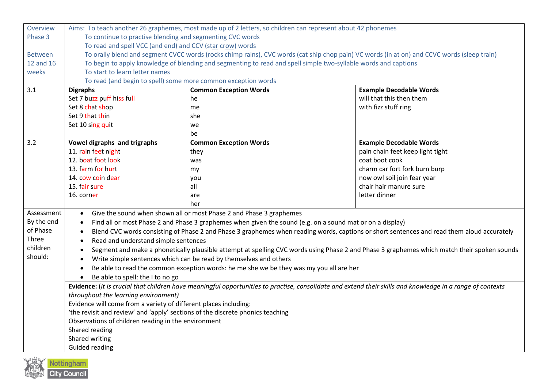| Overview       | Aims: To teach another 26 graphemes, most made up of 2 letters, so children can represent about 42 phonemes                                                                                        |                                                                                                                                             |                                  |
|----------------|----------------------------------------------------------------------------------------------------------------------------------------------------------------------------------------------------|---------------------------------------------------------------------------------------------------------------------------------------------|----------------------------------|
| Phase 3        | To continue to practise blending and segmenting CVC words                                                                                                                                          |                                                                                                                                             |                                  |
|                | To read and spell VCC (and end) and CCV (star crow) words                                                                                                                                          |                                                                                                                                             |                                  |
| <b>Between</b> |                                                                                                                                                                                                    | To orally blend and segment CVCC words (rocks chimp rains), CVC words (cat ship chop pain) VC words (in at on) and CCVC words (sleep train) |                                  |
| 12 and 16      | To begin to apply knowledge of blending and segmenting to read and spell simple two-syllable words and captions                                                                                    |                                                                                                                                             |                                  |
| weeks          | To start to learn letter names                                                                                                                                                                     |                                                                                                                                             |                                  |
|                | To read (and begin to spell) some more common exception words                                                                                                                                      |                                                                                                                                             |                                  |
| 3.1            | <b>Digraphs</b>                                                                                                                                                                                    | <b>Common Exception Words</b>                                                                                                               | <b>Example Decodable Words</b>   |
|                | Set 7 buzz puff hiss full                                                                                                                                                                          | he                                                                                                                                          | will that this then them         |
|                | Set 8 chat shop                                                                                                                                                                                    | me                                                                                                                                          | with fizz stuff ring             |
|                | Set 9 that thin                                                                                                                                                                                    | she                                                                                                                                         |                                  |
|                | Set 10 sing quit                                                                                                                                                                                   | we                                                                                                                                          |                                  |
|                |                                                                                                                                                                                                    | be                                                                                                                                          |                                  |
| 3.2            | Vowel digraphs and trigraphs                                                                                                                                                                       | <b>Common Exception Words</b>                                                                                                               | <b>Example Decodable Words</b>   |
|                | 11. rain feet night                                                                                                                                                                                | they                                                                                                                                        | pain chain feet keep light tight |
|                | 12. boat foot look                                                                                                                                                                                 | was                                                                                                                                         | coat boot cook                   |
|                | 13. farm for hurt                                                                                                                                                                                  | my                                                                                                                                          | charm car fort fork burn burp    |
|                | 14. cow coin dear                                                                                                                                                                                  | you                                                                                                                                         | now owl soil join fear year      |
|                | 15. fair sure                                                                                                                                                                                      | all                                                                                                                                         | chair hair manure sure           |
|                | 16. corner                                                                                                                                                                                         | are                                                                                                                                         | letter dinner                    |
|                |                                                                                                                                                                                                    | her                                                                                                                                         |                                  |
| Assessment     | Give the sound when shown all or most Phase 2 and Phase 3 graphemes<br>$\bullet$                                                                                                                   |                                                                                                                                             |                                  |
| By the end     | Find all or most Phase 2 and Phase 3 graphemes when given the sound (e.g. on a sound mat or on a display)<br>$\bullet$                                                                             |                                                                                                                                             |                                  |
| of Phase       | $\bullet$                                                                                                                                                                                          | Blend CVC words consisting of Phase 2 and Phase 3 graphemes when reading words, captions or short sentences and read them aloud accurately  |                                  |
| Three          | Read and understand simple sentences                                                                                                                                                               |                                                                                                                                             |                                  |
| children       |                                                                                                                                                                                                    | Segment and make a phonetically plausible attempt at spelling CVC words using Phase 2 and Phase 3 graphemes which match their spoken sounds |                                  |
| should:        | Write simple sentences which can be read by themselves and others                                                                                                                                  |                                                                                                                                             |                                  |
|                | Be able to read the common exception words: he me she we be they was my you all are her                                                                                                            |                                                                                                                                             |                                  |
|                | Be able to spell: the I to no go                                                                                                                                                                   |                                                                                                                                             |                                  |
|                |                                                                                                                                                                                                    |                                                                                                                                             |                                  |
|                | Evidence: (It is crucial that children have meaningful opportunities to practise, consolidate and extend their skills and knowledge in a range of contexts<br>throughout the learning environment) |                                                                                                                                             |                                  |
|                | Evidence will come from a variety of different places including:                                                                                                                                   |                                                                                                                                             |                                  |
|                | 'the revisit and review' and 'apply' sections of the discrete phonics teaching                                                                                                                     |                                                                                                                                             |                                  |
|                | Observations of children reading in the environment                                                                                                                                                |                                                                                                                                             |                                  |
|                | Shared reading                                                                                                                                                                                     |                                                                                                                                             |                                  |
|                | Shared writing                                                                                                                                                                                     |                                                                                                                                             |                                  |
|                | <b>Guided reading</b>                                                                                                                                                                              |                                                                                                                                             |                                  |
|                |                                                                                                                                                                                                    |                                                                                                                                             |                                  |

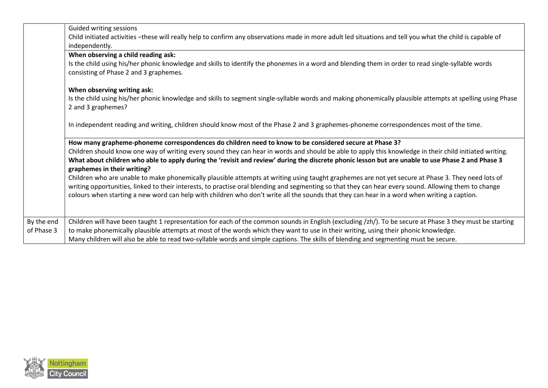|            | Guided writing sessions                                                                                                                                                                      |
|------------|----------------------------------------------------------------------------------------------------------------------------------------------------------------------------------------------|
|            | Child initiated activities -these will really help to confirm any observations made in more adult led situations and tell you what the child is capable of                                   |
|            | independently.                                                                                                                                                                               |
|            | When observing a child reading ask:                                                                                                                                                          |
|            | Is the child using his/her phonic knowledge and skills to identify the phonemes in a word and blending them in order to read single-syllable words<br>consisting of Phase 2 and 3 graphemes. |
|            | When observing writing ask:                                                                                                                                                                  |
|            | Is the child using his/her phonic knowledge and skills to segment single-syllable words and making phonemically plausible attempts at spelling using Phase                                   |
|            | 2 and 3 graphemes?                                                                                                                                                                           |
|            | In independent reading and writing, children should know most of the Phase 2 and 3 graphemes-phoneme correspondences most of the time.                                                       |
|            | How many grapheme-phoneme correspondences do children need to know to be considered secure at Phase 3?                                                                                       |
|            | Children should know one way of writing every sound they can hear in words and should be able to apply this knowledge in their child initiated writing.                                      |
|            | What about children who able to apply during the 'revisit and review' during the discrete phonic lesson but are unable to use Phase 2 and Phase 3<br>graphemes in their writing?             |
|            | Children who are unable to make phonemically plausible attempts at writing using taught graphemes are not yet secure at Phase 3. They need lots of                                           |
|            | writing opportunities, linked to their interests, to practise oral blending and segmenting so that they can hear every sound. Allowing them to change                                        |
|            | colours when starting a new word can help with children who don't write all the sounds that they can hear in a word when writing a caption.                                                  |
|            |                                                                                                                                                                                              |
| By the end | Children will have been taught 1 representation for each of the common sounds in English (excluding /zh/). To be secure at Phase 3 they must be starting                                     |
| of Phase 3 | to make phonemically plausible attempts at most of the words which they want to use in their writing, using their phonic knowledge.                                                          |
|            | Many children will also be able to read two-syllable words and simple captions. The skills of blending and segmenting must be secure.                                                        |
|            |                                                                                                                                                                                              |

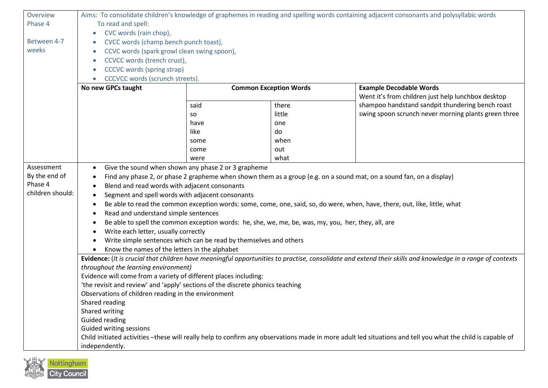| Overview         | Aims: To consolidate children's knowledge of graphemes in reading and spelling words containing adjacent consonants and polysyllabic words                                      |                                                                                                     |                               |                                                                                                                                                            |
|------------------|---------------------------------------------------------------------------------------------------------------------------------------------------------------------------------|-----------------------------------------------------------------------------------------------------|-------------------------------|------------------------------------------------------------------------------------------------------------------------------------------------------------|
| Phase 4          | To read and spell:                                                                                                                                                              |                                                                                                     |                               |                                                                                                                                                            |
|                  | CVC words (rain chop),<br>$\bullet$                                                                                                                                             |                                                                                                     |                               |                                                                                                                                                            |
| Between 4-7      | CVCC words (champ bench punch toast),<br>$\bullet$                                                                                                                              |                                                                                                     |                               |                                                                                                                                                            |
| weeks            | CCVC words (spark growl clean swing spoon),<br>$\bullet$                                                                                                                        |                                                                                                     |                               |                                                                                                                                                            |
|                  | CCVCC words (trench crust),<br>٠                                                                                                                                                |                                                                                                     |                               |                                                                                                                                                            |
|                  | <b>CCCVC</b> words (spring strap)<br>$\bullet$                                                                                                                                  |                                                                                                     |                               |                                                                                                                                                            |
|                  | CCCVCC words (scrunch streets).                                                                                                                                                 |                                                                                                     |                               |                                                                                                                                                            |
|                  | No new GPCs taught                                                                                                                                                              |                                                                                                     | <b>Common Exception Words</b> | <b>Example Decodable Words</b>                                                                                                                             |
|                  |                                                                                                                                                                                 |                                                                                                     |                               | Went it's from children just help lunchbox desktop                                                                                                         |
|                  |                                                                                                                                                                                 | said                                                                                                | there                         | shampoo handstand sandpit thundering bench roast                                                                                                           |
|                  |                                                                                                                                                                                 | so                                                                                                  | little                        | swing spoon scrunch never morning plants green three                                                                                                       |
|                  |                                                                                                                                                                                 | have                                                                                                | one                           |                                                                                                                                                            |
|                  |                                                                                                                                                                                 | like                                                                                                | do                            |                                                                                                                                                            |
|                  |                                                                                                                                                                                 | some                                                                                                | when                          |                                                                                                                                                            |
|                  |                                                                                                                                                                                 | come                                                                                                | out                           |                                                                                                                                                            |
|                  |                                                                                                                                                                                 | were                                                                                                | what                          |                                                                                                                                                            |
| Assessment       | $\bullet$                                                                                                                                                                       | Give the sound when shown any phase 2 or 3 grapheme                                                 |                               |                                                                                                                                                            |
| By the end of    | $\bullet$                                                                                                                                                                       |                                                                                                     |                               | Find any phase 2, or phase 2 grapheme when shown them as a group (e.g. on a sound mat, on a sound fan, on a display)                                       |
| Phase 4          | Blend and read words with adjacent consonants<br>$\bullet$                                                                                                                      |                                                                                                     |                               |                                                                                                                                                            |
| children should: | Segment and spell words with adjacent consonants<br>$\bullet$                                                                                                                   |                                                                                                     |                               |                                                                                                                                                            |
|                  | ٠                                                                                                                                                                               |                                                                                                     |                               |                                                                                                                                                            |
|                  | Be able to read the common exception words: some, come, one, said, so, do were, when, have, there, out, like, little, what<br>Read and understand simple sentences<br>$\bullet$ |                                                                                                     |                               |                                                                                                                                                            |
|                  | $\bullet$                                                                                                                                                                       | Be able to spell the common exception words: he, she, we, me, be, was, my, you, her, they, all, are |                               |                                                                                                                                                            |
|                  | Write each letter, usually correctly<br>٠                                                                                                                                       |                                                                                                     |                               |                                                                                                                                                            |
|                  |                                                                                                                                                                                 |                                                                                                     |                               |                                                                                                                                                            |
|                  | Write simple sentences which can be read by themselves and others<br>Know the names of the letters in the alphabet                                                              |                                                                                                     |                               |                                                                                                                                                            |
|                  | Evidence: (It is crucial that children have meaningful opportunities to practise, consolidate and extend their skills and knowledge in a range of contexts                      |                                                                                                     |                               |                                                                                                                                                            |
|                  | throughout the learning environment)                                                                                                                                            |                                                                                                     |                               |                                                                                                                                                            |
|                  | Evidence will come from a variety of different places including:                                                                                                                |                                                                                                     |                               |                                                                                                                                                            |
|                  | 'the revisit and review' and 'apply' sections of the discrete phonics teaching                                                                                                  |                                                                                                     |                               |                                                                                                                                                            |
|                  | Observations of children reading in the environment                                                                                                                             |                                                                                                     |                               |                                                                                                                                                            |
|                  | Shared reading                                                                                                                                                                  |                                                                                                     |                               |                                                                                                                                                            |
|                  | Shared writing                                                                                                                                                                  |                                                                                                     |                               |                                                                                                                                                            |
|                  | Guided reading                                                                                                                                                                  |                                                                                                     |                               |                                                                                                                                                            |
|                  | Guided writing sessions                                                                                                                                                         |                                                                                                     |                               |                                                                                                                                                            |
|                  |                                                                                                                                                                                 |                                                                                                     |                               | Child initiated activities -these will really help to confirm any observations made in more adult led situations and tell you what the child is capable of |
|                  | independently.                                                                                                                                                                  |                                                                                                     |                               |                                                                                                                                                            |

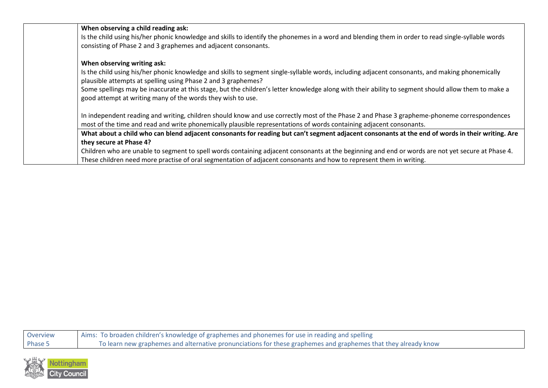| When observing a child reading ask:                                                                                                                 |
|-----------------------------------------------------------------------------------------------------------------------------------------------------|
| Is the child using his/her phonic knowledge and skills to identify the phonemes in a word and blending them in order to read single-syllable words  |
| consisting of Phase 2 and 3 graphemes and adjacent consonants.                                                                                      |
| When observing writing ask:                                                                                                                         |
| Is the child using his/her phonic knowledge and skills to segment single-syllable words, including adjacent consonants, and making phonemically     |
| plausible attempts at spelling using Phase 2 and 3 graphemes?                                                                                       |
| Some spellings may be inaccurate at this stage, but the children's letter knowledge along with their ability to segment should allow them to make a |
| good attempt at writing many of the words they wish to use.                                                                                         |
| In independent reading and writing, children should know and use correctly most of the Phase 2 and Phase 3 grapheme-phoneme correspondences         |
| most of the time and read and write phonemically plausible representations of words containing adjacent consonants.                                 |
| What about a child who can blend adjacent consonants for reading but can't segment adjacent consonants at the end of words in their writing. Are    |
| they secure at Phase 4?                                                                                                                             |
| Children who are unable to segment to spell words containing adjacent consonants at the beginning and end or words are not yet secure at Phase 4.   |
| These children need more practise of oral segmentation of adjacent consonants and how to represent them in writing.                                 |
|                                                                                                                                                     |

| Overview | Aims: To broaden children's knowledge of graphemes and phonemes for use in reading and spelling                |
|----------|----------------------------------------------------------------------------------------------------------------|
| Phase 5  | To learn new graphemes and alternative pronunciations for these graphemes and graphemes that they already know |

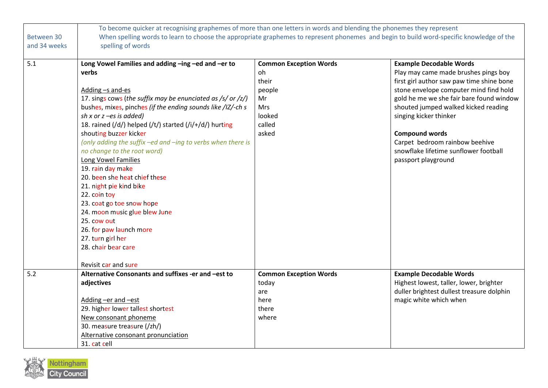|              | To become quicker at recognising graphemes of more than one letters in words and blending the phonemes they represent                    |                               |                                           |
|--------------|------------------------------------------------------------------------------------------------------------------------------------------|-------------------------------|-------------------------------------------|
| Between 30   | When spelling words to learn to choose the appropriate graphemes to represent phonemes and begin to build word-specific knowledge of the |                               |                                           |
| and 34 weeks | spelling of words                                                                                                                        |                               |                                           |
|              |                                                                                                                                          |                               |                                           |
| 5.1          | Long Vowel Families and adding -ing -ed and -er to                                                                                       | <b>Common Exception Words</b> | <b>Example Decodable Words</b>            |
|              | verbs                                                                                                                                    | oh                            | Play may came made brushes pings boy      |
|              |                                                                                                                                          | their                         | first girl author saw paw time shine bone |
|              | Adding -s and-es                                                                                                                         | people                        | stone envelope computer mind find hold    |
|              | 17. sings cows (the suffix may be enunciated as /s/ or /z/)                                                                              | Mr                            | gold he me we she fair bare found window  |
|              | bushes, mixes, pinches (if the ending sounds like /IZ/-ch s                                                                              | Mrs                           | shouted jumped walked kicked reading      |
|              | sh x or $z$ -es is added)                                                                                                                | looked                        | singing kicker thinker                    |
|              | 18. rained (/d/) helped (/t/) started (/i/+/d/) hurting                                                                                  | called                        |                                           |
|              | shouting buzzer kicker                                                                                                                   | asked                         | <b>Compound words</b>                     |
|              | (only adding the suffix -ed and -ing to verbs when there is                                                                              |                               | Carpet bedroom rainbow beehive            |
|              | no change to the root word)                                                                                                              |                               | snowflake lifetime sunflower football     |
|              | Long Vowel Families                                                                                                                      |                               | passport playground                       |
|              | 19. rain day make                                                                                                                        |                               |                                           |
|              | 20. been she heat chief these                                                                                                            |                               |                                           |
|              | 21. night pie kind bike                                                                                                                  |                               |                                           |
|              | 22. coin toy                                                                                                                             |                               |                                           |
|              | 23. coat go toe snow hope                                                                                                                |                               |                                           |
|              | 24. moon music glue blew June                                                                                                            |                               |                                           |
|              | 25. cow out                                                                                                                              |                               |                                           |
|              | 26. for paw launch more                                                                                                                  |                               |                                           |
|              | 27. turn girl her                                                                                                                        |                               |                                           |
|              | 28. chair bear care                                                                                                                      |                               |                                           |
|              |                                                                                                                                          |                               |                                           |
|              | Revisit car and sure                                                                                                                     |                               |                                           |
| 5.2          | Alternative Consonants and suffixes -er and -est to                                                                                      | <b>Common Exception Words</b> | <b>Example Decodable Words</b>            |
|              | adjectives                                                                                                                               | today                         | Highest lowest, taller, lower, brighter   |
|              |                                                                                                                                          | are                           | duller brightest dullest treasure dolphin |
|              | Adding -er and -est                                                                                                                      | here                          | magic white which when                    |
|              | 29. higher lower tallest shortest                                                                                                        | there                         |                                           |
|              | New consonant phoneme                                                                                                                    | where                         |                                           |
|              | 30. measure treasure (/zh/)                                                                                                              |                               |                                           |
|              | Alternative consonant pronunciation                                                                                                      |                               |                                           |
|              | 31. cat cell                                                                                                                             |                               |                                           |

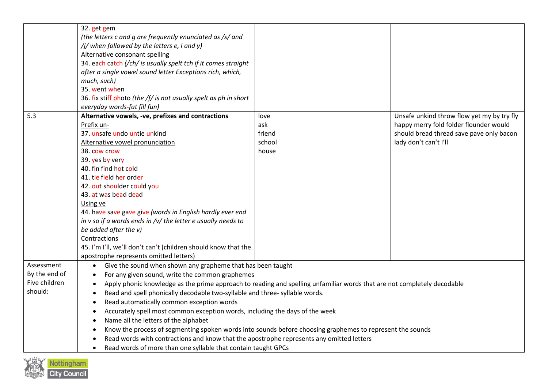|               | 32. get gem                                                                                                             |        |                                            |
|---------------|-------------------------------------------------------------------------------------------------------------------------|--------|--------------------------------------------|
|               | (the letters c and g are frequently enunciated as /s/ and                                                               |        |                                            |
|               | /j/ when followed by the letters e, I and y)                                                                            |        |                                            |
|               | Alternative consonant spelling                                                                                          |        |                                            |
|               | 34. each catch (/ch/ is usually spelt tch if it comes straight                                                          |        |                                            |
|               | after a single vowel sound letter Exceptions rich, which,                                                               |        |                                            |
|               | much, such)                                                                                                             |        |                                            |
|               | 35. went when                                                                                                           |        |                                            |
|               | 36. fix stiff photo (the /f/ is not usually spelt as ph in short                                                        |        |                                            |
|               | everyday words-fat fill fun)                                                                                            |        |                                            |
| 5.3           | Alternative vowels, -ve, prefixes and contractions                                                                      | love   | Unsafe unkind throw flow yet my by try fly |
|               | Prefix un-                                                                                                              | ask    | happy merry fold folder flounder would     |
|               | 37. unsafe undo untie unkind                                                                                            | friend | should bread thread save pave only bacon   |
|               | Alternative vowel pronunciation                                                                                         | school | lady don't can't I'll                      |
|               | 38. cow crow                                                                                                            | house  |                                            |
|               | 39. yes by very                                                                                                         |        |                                            |
|               | 40. fin find hot cold                                                                                                   |        |                                            |
|               | 41. tie field her order                                                                                                 |        |                                            |
|               | 42. out shoulder could you                                                                                              |        |                                            |
|               | 43. at was bead dead                                                                                                    |        |                                            |
|               | Using ve                                                                                                                |        |                                            |
|               | 44. have save gave give (words in English hardly ever end                                                               |        |                                            |
|               | in $v$ so if a words ends in / $v$ / the letter e usually needs to                                                      |        |                                            |
|               | be added after the v)                                                                                                   |        |                                            |
|               | Contractions                                                                                                            |        |                                            |
|               | 45. I'm I'll, we'll don't can't (children should know that the                                                          |        |                                            |
|               | apostrophe represents omitted letters)                                                                                  |        |                                            |
| Assessment    | Give the sound when shown any grapheme that has been taught                                                             |        |                                            |
| By the end of | For any given sound, write the common graphemes<br>$\bullet$                                                            |        |                                            |
| Five children | Apply phonic knowledge as the prime approach to reading and spelling unfamiliar words that are not completely decodable |        |                                            |
| should:       | Read and spell phonically decodable two-syllable and three-syllable words.<br>$\bullet$                                 |        |                                            |
|               | Read automatically common exception words<br>$\bullet$                                                                  |        |                                            |
|               | Accurately spell most common exception words, including the days of the week                                            |        |                                            |
|               | Name all the letters of the alphabet<br>$\bullet$                                                                       |        |                                            |
|               | Know the process of segmenting spoken words into sounds before choosing graphemes to represent the sounds<br>$\bullet$  |        |                                            |
|               | Read words with contractions and know that the apostrophe represents any omitted letters                                |        |                                            |
|               | Read words of more than one syllable that contain taught GPCs                                                           |        |                                            |

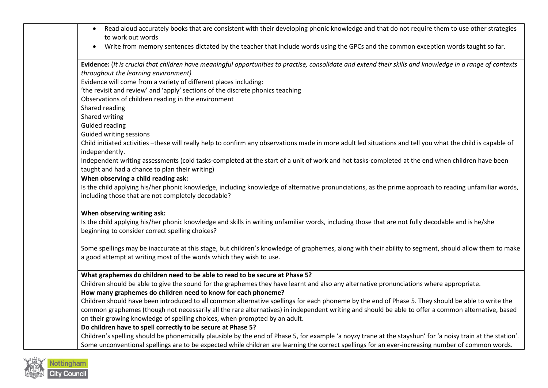| Read aloud accurately books that are consistent with their developing phonic knowledge and that do not require them to use other strategies<br>$\bullet$<br>to work out words |
|-------------------------------------------------------------------------------------------------------------------------------------------------------------------------------|
| Write from memory sentences dictated by the teacher that include words using the GPCs and the common exception words taught so far.<br>$\bullet$                              |
| Evidence: (It is crucial that children have meaningful opportunities to practise, consolidate and extend their skills and knowledge in a range of contexts                    |
| throughout the learning environment)                                                                                                                                          |
| Evidence will come from a variety of different places including:                                                                                                              |
| 'the revisit and review' and 'apply' sections of the discrete phonics teaching                                                                                                |
| Observations of children reading in the environment                                                                                                                           |
| Shared reading                                                                                                                                                                |
| Shared writing                                                                                                                                                                |
| <b>Guided reading</b>                                                                                                                                                         |
| Guided writing sessions                                                                                                                                                       |
| Child initiated activities -these will really help to confirm any observations made in more adult led situations and tell you what the child is capable of                    |
| independently.                                                                                                                                                                |
| Independent writing assessments (cold tasks-completed at the start of a unit of work and hot tasks-completed at the end when children have been                               |
| taught and had a chance to plan their writing)                                                                                                                                |
| When observing a child reading ask:                                                                                                                                           |
| Is the child applying his/her phonic knowledge, including knowledge of alternative pronunciations, as the prime approach to reading unfamiliar words,                         |
| including those that are not completely decodable?                                                                                                                            |
| When observing writing ask:                                                                                                                                                   |
| Is the child applying his/her phonic knowledge and skills in writing unfamiliar words, including those that are not fully decodable and is he/she                             |
| beginning to consider correct spelling choices?                                                                                                                               |
|                                                                                                                                                                               |
| Some spellings may be inaccurate at this stage, but children's knowledge of graphemes, along with their ability to segment, should allow them to make                         |
| a good attempt at writing most of the words which they wish to use.                                                                                                           |
|                                                                                                                                                                               |
| What graphemes do children need to be able to read to be secure at Phase 5?                                                                                                   |
| Children should be able to give the sound for the graphemes they have learnt and also any alternative pronunciations where appropriate.                                       |
| How many graphemes do children need to know for each phoneme?                                                                                                                 |
| Children should have been introduced to all common alternative spellings for each phoneme by the end of Phase 5. They should be able to write the                             |
| common graphemes (though not necessarily all the rare alternatives) in independent writing and should be able to offer a common alternative, based                            |
| on their growing knowledge of spelling choices, when prompted by an adult.                                                                                                    |
| Do children have to spell correctly to be secure at Phase 5?                                                                                                                  |
| Children's spelling should be phonemically plausible by the end of Phase 5, for example 'a noyzy trane at the stayshun' for 'a noisy train at the station'.                   |
| Some unconventional spellings are to be expected while children are learning the correct spellings for an ever-increasing number of common words.                             |

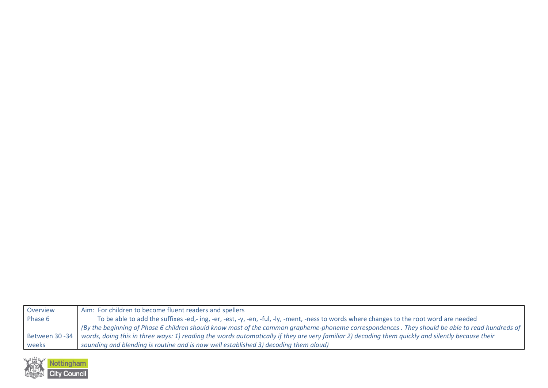| Overview        | Aim: For children to become fluent readers and spellers                                                                                           |
|-----------------|---------------------------------------------------------------------------------------------------------------------------------------------------|
| Phase 6         | To be able to add the suffixes -ed,- ing, -er, -est, -y, -en, -ful, -ly, -ment, -ness to words where changes to the root word are needed          |
|                 | (By the beginning of Phase 6 children should know most of the common grapheme-phoneme correspondences . They should be able to read hundreds of   |
| Between 30 - 34 | words, doing this in three ways: 1) reading the words automatically if they are very familiar 2) decoding them quickly and silently because their |
| weeks           | sounding and blending is routine and is now well established 3) decoding them aloud)                                                              |

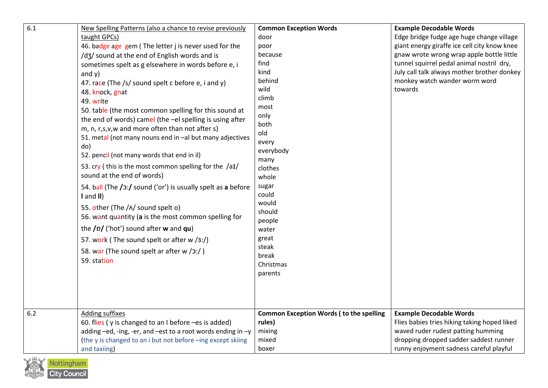| 6.1 | New Spelling Patterns (also a chance to revise previously<br>taught GPCs)<br>46. badge age gem (The letter j is never used for the<br>/d3/ sound at the end of English words and is<br>sometimes spelt as g elsewhere in words before e, i<br>and $y)$<br>47. race (The /s/ sound spelt c before e, i and y)<br>48. knock, gnat<br>49. write<br>50. table (the most common spelling for this sound at<br>the end of words) camel (the -el spelling is using after<br>m, n, r,s,v,w and more often than not after s)<br>51. metal (not many nouns end in -al but many adjectives<br>do)<br>52. pencil (not many words that end in il)<br>53. cry (this is the most common spelling for the $/aI$<br>sound at the end of words)<br>54. ball (The /2:/ sound ('or') is usually spelt as a before<br>$I$ and $II$ )<br>55. other (The /^/ sound spelt o)<br>56. want quantity (a is the most common spelling for<br>the $\frac{1}{2}$ ('hot') sound after w and qu)<br>57. work (The sound spelt or after w /3:/)<br>58. war (The sound spelt ar after w $(2:')$<br>59. station | <b>Common Exception Words</b><br>door<br>poor<br>because<br>find<br>kind<br>behind<br>wild<br>climb<br>most<br>only<br>both<br>old<br>every<br>everybody<br>many<br>clothes<br>whole<br>sugar<br>could<br>would<br>should<br>people<br>water<br>great<br>steak<br>break<br>Christmas<br>parents | <b>Example Decodable Words</b><br>Edge bridge fudge age huge change village<br>giant energy giraffe ice cell city know knee<br>gnaw wrote wrong wrap apple bottle little<br>tunnel squirrel pedal animal nostril dry,<br>July call talk always mother brother donkey<br>monkey watch wander worm word<br>towards |
|-----|-----------------------------------------------------------------------------------------------------------------------------------------------------------------------------------------------------------------------------------------------------------------------------------------------------------------------------------------------------------------------------------------------------------------------------------------------------------------------------------------------------------------------------------------------------------------------------------------------------------------------------------------------------------------------------------------------------------------------------------------------------------------------------------------------------------------------------------------------------------------------------------------------------------------------------------------------------------------------------------------------------------------------------------------------------------------------------|-------------------------------------------------------------------------------------------------------------------------------------------------------------------------------------------------------------------------------------------------------------------------------------------------|------------------------------------------------------------------------------------------------------------------------------------------------------------------------------------------------------------------------------------------------------------------------------------------------------------------|
| 6.2 | <b>Adding suffixes</b>                                                                                                                                                                                                                                                                                                                                                                                                                                                                                                                                                                                                                                                                                                                                                                                                                                                                                                                                                                                                                                                      | <b>Common Exception Words (to the spelling</b>                                                                                                                                                                                                                                                  | <b>Example Decodable Words</b>                                                                                                                                                                                                                                                                                   |
|     | 60. flies (y is changed to an I before -es is added)                                                                                                                                                                                                                                                                                                                                                                                                                                                                                                                                                                                                                                                                                                                                                                                                                                                                                                                                                                                                                        | rules)                                                                                                                                                                                                                                                                                          | Flies babies tries hiking taking hoped liked                                                                                                                                                                                                                                                                     |
|     | adding -ed, -ing, -er, and -est to a root words ending in -y                                                                                                                                                                                                                                                                                                                                                                                                                                                                                                                                                                                                                                                                                                                                                                                                                                                                                                                                                                                                                | mixing                                                                                                                                                                                                                                                                                          | waved ruder rudest patting humming                                                                                                                                                                                                                                                                               |
|     | (the y is changed to an i but not before -ing except skiing                                                                                                                                                                                                                                                                                                                                                                                                                                                                                                                                                                                                                                                                                                                                                                                                                                                                                                                                                                                                                 | mixed                                                                                                                                                                                                                                                                                           | dropping dropped sadder saddest runner                                                                                                                                                                                                                                                                           |
|     | and taxiing)                                                                                                                                                                                                                                                                                                                                                                                                                                                                                                                                                                                                                                                                                                                                                                                                                                                                                                                                                                                                                                                                | boxer                                                                                                                                                                                                                                                                                           | runny enjoyment sadness careful playful                                                                                                                                                                                                                                                                          |

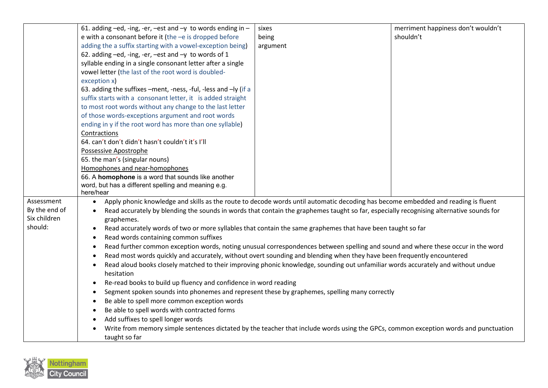|               | 61. adding $-e$ d, -ing, -er, $-e$ st and $-y$ to words ending in $-$                                                                                              | sixes    | merriment happiness don't wouldn't |  |  |
|---------------|--------------------------------------------------------------------------------------------------------------------------------------------------------------------|----------|------------------------------------|--|--|
|               | e with a consonant before it (the $-e$ is dropped before                                                                                                           | being    | shouldn't                          |  |  |
|               | adding the a suffix starting with a vowel-exception being)                                                                                                         | argument |                                    |  |  |
|               | 62. adding -ed, -ing, -er, -est and -y to words of 1                                                                                                               |          |                                    |  |  |
|               | syllable ending in a single consonant letter after a single                                                                                                        |          |                                    |  |  |
|               | vowel letter (the last of the root word is doubled-                                                                                                                |          |                                    |  |  |
|               | exception x)                                                                                                                                                       |          |                                    |  |  |
|               | 63. adding the suffixes -ment, -ness, -ful, -less and -ly (if a                                                                                                    |          |                                    |  |  |
|               | suffix starts with a consonant letter, it is added straight                                                                                                        |          |                                    |  |  |
|               | to most root words without any change to the last letter                                                                                                           |          |                                    |  |  |
|               | of those words-exceptions argument and root words                                                                                                                  |          |                                    |  |  |
|               | ending in y if the root word has more than one syllable)                                                                                                           |          |                                    |  |  |
|               | Contractions                                                                                                                                                       |          |                                    |  |  |
|               | 64. can't don't didn't hasn't couldn't it's I'll                                                                                                                   |          |                                    |  |  |
|               | Possessive Apostrophe                                                                                                                                              |          |                                    |  |  |
|               | 65. the man's (singular nouns)                                                                                                                                     |          |                                    |  |  |
|               | Homophones and near-homophones                                                                                                                                     |          |                                    |  |  |
|               | 66. A homophone is a word that sounds like another                                                                                                                 |          |                                    |  |  |
|               | word, but has a different spelling and meaning e.g.                                                                                                                |          |                                    |  |  |
| Assessment    | here/hear                                                                                                                                                          |          |                                    |  |  |
| By the end of | Apply phonic knowledge and skills as the route to decode words until automatic decoding has become embedded and reading is fluent<br>$\bullet$                     |          |                                    |  |  |
| Six children  | Read accurately by blending the sounds in words that contain the graphemes taught so far, especially recognising alternative sounds for<br>$\bullet$<br>graphemes. |          |                                    |  |  |
| should:       | Read accurately words of two or more syllables that contain the same graphemes that have been taught so far<br>$\bullet$                                           |          |                                    |  |  |
|               | Read words containing common suffixes<br>$\bullet$                                                                                                                 |          |                                    |  |  |
|               | Read further common exception words, noting unusual correspondences between spelling and sound and where these occur in the word                                   |          |                                    |  |  |
|               | $\bullet$<br>Read most words quickly and accurately, without overt sounding and blending when they have been frequently encountered<br>$\bullet$                   |          |                                    |  |  |
|               | Read aloud books closely matched to their improving phonic knowledge, sounding out unfamiliar words accurately and without undue<br>$\bullet$                      |          |                                    |  |  |
|               | hesitation                                                                                                                                                         |          |                                    |  |  |
|               | Re-read books to build up fluency and confidence in word reading<br>$\bullet$                                                                                      |          |                                    |  |  |
|               | Segment spoken sounds into phonemes and represent these by graphemes, spelling many correctly<br>٠                                                                 |          |                                    |  |  |
|               | Be able to spell more common exception words<br>٠                                                                                                                  |          |                                    |  |  |
|               | Be able to spell words with contracted forms<br>٠                                                                                                                  |          |                                    |  |  |
|               | Add suffixes to spell longer words<br>٠                                                                                                                            |          |                                    |  |  |
|               | Write from memory simple sentences dictated by the teacher that include words using the GPCs, common exception words and punctuation<br>$\bullet$                  |          |                                    |  |  |
|               | taught so far                                                                                                                                                      |          |                                    |  |  |